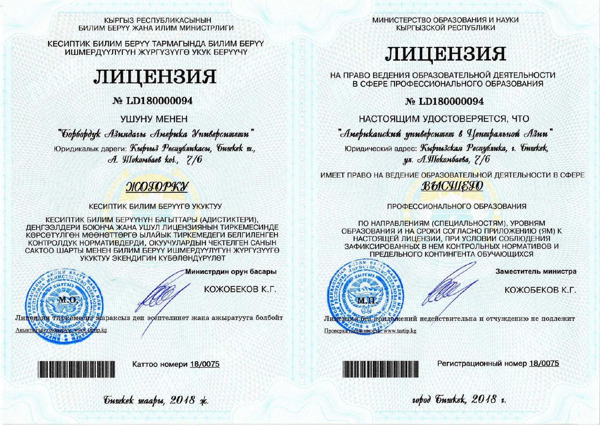#### КЫРГЫЗ РЕСПУБЛИКАСЫНЫН БИЛИМ БЕРҮҮ ЖАНА ИЛИМ МИНИСТРЛИГИ

КЕСИПТИК БИЛИМ БЕРҮҮ ТАРМАГЫНДА БИЛИМ БЕРҮҮ ИШМЕРДҮҮЛҮГҮН ЖҮРГҮЗҮҮГӨ УКУК БЕРҮҮЧҮ

# ЛИЦЕНЗИЯ

# No LD180000094

## **VIIIVHY MEHEH**

"борбордук Азиядагы Америка Университети"

Юридикалык дареги: Кыргыз Республикасы, бишкек ш., A. Wlokombaeb koi., 7/6

# ЖОГОРКУ

## КЕСИПТИК БИЛИМ БЕРҮҮГӨ УКУКТУУ

КЕСИПТИК БИЛИМ БЕРҮҮНҮН БАГЫТТАРЫ (АДИСТИКТЕРИ). ДЕНГЭЭЛДЕРИ БОЮНЧА ЖАНА УШУЛ ЛИЦЕНЗИЯНЫН ТИРКЕМЕСИНДЕ КӨРСӨТҮЛГӨН МӨӨНӨТТӨРГӨ ЫЛАЙЫК ТИРКЕМЕДЕГИ БЕЛГИЛЕНГЕН КОНТРОЛДУК НОРМАТИВДЕРДИ, ОКУУЧУЛАРДЫН ЧЕКТЕЛГЕН САНЫН САКТОО ШАРТЫ МЕНЕН БИЛИМ БЕРҮҮ ИШМЕРДҮҮЛҮГҮН ЖҮРГҮЗҮҮГӨ УКУКТУУ ЭКЕНДИГИН КҮБӨЛӨНДҮРҮЛӨТ



Аныктытын текцерүү, www.tartip.kg

Министрдин орун басары

КОЖОБЕКОВ К.Г.

Лицензия тиркемесиз жараксыз деп эсептелинет жана ажыратууга болбойт



Каттоо номери 18/0075

Guwkek waapu, 2018 xk.

МИНИСТЕРСТВО ОБРАЗОВАНИЯ И НАУКИ КЫРГЫЗСКОЙ РЕСПУБЛИКИ

# ЛИЦЕНЗИЯ

НА ПРАВО ВЕДЕНИЯ ОБРАЗОВАТЕЛЬНОЙ ДЕЯТЕЛЬНОСТИ В СФЕРЕ ПРОФЕССИОНАЛЬНОГО ОБРАЗОВАНИЯ

## No LD180000094

НАСТОЯЩИМ УДОСТОВЕРЯЕТСЯ, ЧТО

"Американский университет в Центральной Азии"

Юридический адрес: Кыргызская Республика, г. Бишкек, ул. А. Шокомбаева, 7/6

ИМЕЕТ ПРАВО НА ВЕДЕНИЕ ОБРАЗОВАТЕЛЬНОЙ ДЕЯТЕЛЬНОСТИ В СФЕРЕ **BMCHIETO** 

## ПРОФЕССИОНАЛЬНОГО ОБРАЗОВАНИЯ

ПО НАПРАВЛЕНИЯМ (СПЕЦИАЛЬНОСТЯМ), УРОВНЯМ ОБРАЗОВАНИЯ И НА СРОКИ СОГЛАСНО ПРИЛОЖЕНИЮ (ЯМ) К НАСТОЯЩЕЙ ЛИЦЕНЗИИ. ПРИ УСЛОВИИ СОБЛЮДЕНИЯ ЗАФИКСИРОВАННЫХ В НЕМ КОНТРОЛЬНЫХ НОРМАТИВОВ И ПРЕДЕЛЬНОГО КОНТИНГЕНТА ОБУЧАЮЩИХСЯ



Заместитель министра

КОЖОБЕКОВ К.Г.

Литензия без приложений недействительна и отчуждению не подлежит Проверка нолинности, www.tartip.kg



Регистрационный номер 18/0075

10bod Guyukek, 2018 1.